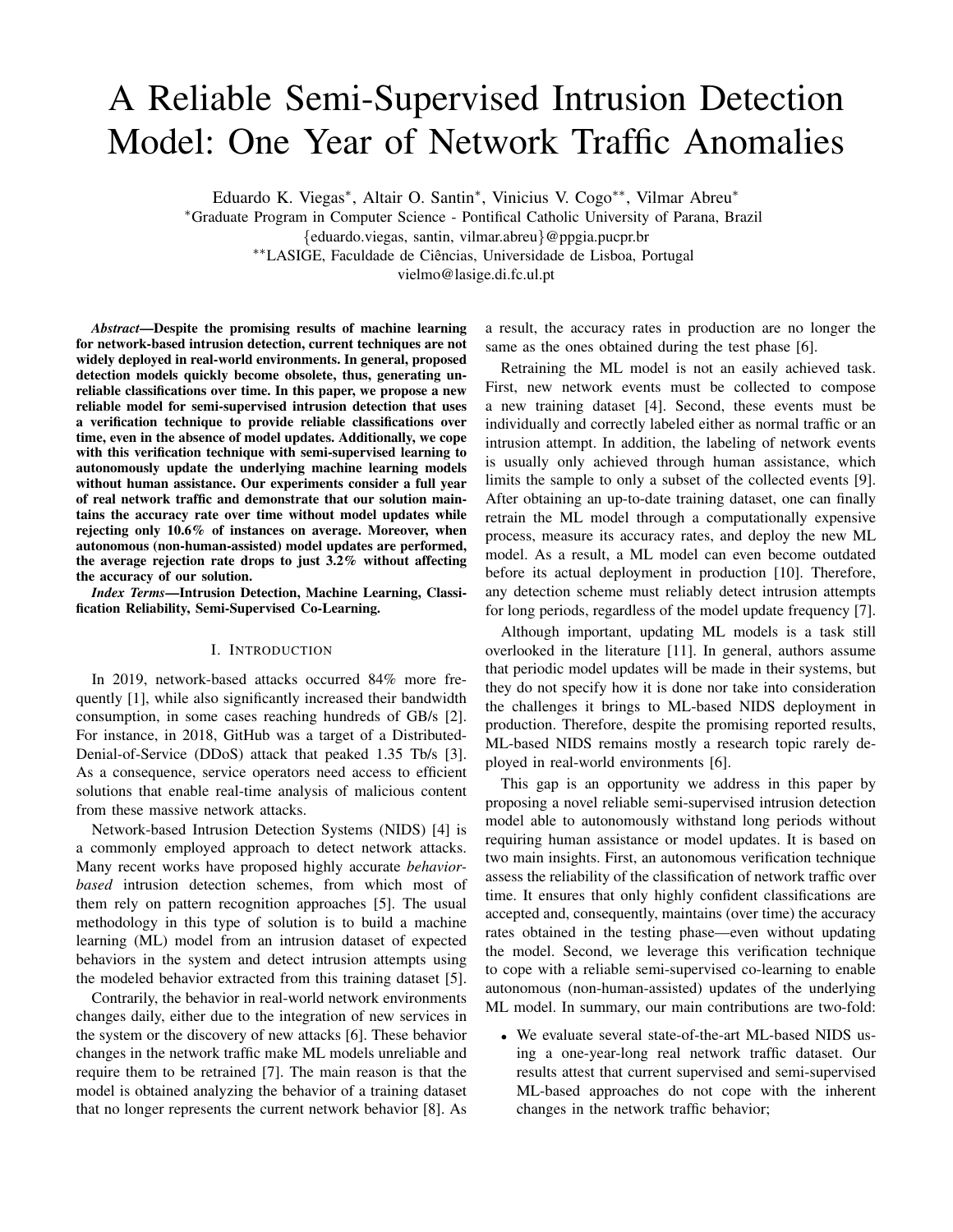# A Reliable Semi-Supervised Intrusion Detection Model: One Year of Network Traffic Anomalies

Eduardo K. Viegas<sup>∗</sup> , Altair O. Santin<sup>∗</sup> , Vinicius V. Cogo∗∗, Vilmar Abreu<sup>∗</sup>

<sup>∗</sup>Graduate Program in Computer Science - Pontifical Catholic University of Parana, Brazil

{eduardo.viegas, santin, vilmar.abreu}@ppgia.pucpr.br

∗∗LASIGE, Faculdade de Ciencias, Universidade de Lisboa, Portugal ˆ

vielmo@lasige.di.fc.ul.pt

*Abstract*—Despite the promising results of machine learning for network-based intrusion detection, current techniques are not widely deployed in real-world environments. In general, proposed detection models quickly become obsolete, thus, generating unreliable classifications over time. In this paper, we propose a new reliable model for semi-supervised intrusion detection that uses a verification technique to provide reliable classifications over time, even in the absence of model updates. Additionally, we cope with this verification technique with semi-supervised learning to autonomously update the underlying machine learning models without human assistance. Our experiments consider a full year of real network traffic and demonstrate that our solution maintains the accuracy rate over time without model updates while rejecting only 10.6% of instances on average. Moreover, when autonomous (non-human-assisted) model updates are performed, the average rejection rate drops to just 3.2% without affecting the accuracy of our solution.

*Index Terms*—Intrusion Detection, Machine Learning, Classification Reliability, Semi-Supervised Co-Learning.

#### I. INTRODUCTION

In 2019, network-based attacks occurred 84% more frequently [\[1\]](#page-5-0), while also significantly increased their bandwidth consumption, in some cases reaching hundreds of GB/s [\[2\]](#page-5-1). For instance, in 2018, GitHub was a target of a Distributed-Denial-of-Service (DDoS) attack that peaked 1.35 Tb/s [\[3\]](#page-5-2). As a consequence, service operators need access to efficient solutions that enable real-time analysis of malicious content from these massive network attacks.

Network-based Intrusion Detection Systems (NIDS) [\[4\]](#page-5-3) is a commonly employed approach to detect network attacks. Many recent works have proposed highly accurate *behaviorbased* intrusion detection schemes, from which most of them rely on pattern recognition approaches [\[5\]](#page-5-4). The usual methodology in this type of solution is to build a machine learning (ML) model from an intrusion dataset of expected behaviors in the system and detect intrusion attempts using the modeled behavior extracted from this training dataset [\[5\]](#page-5-4).

Contrarily, the behavior in real-world network environments changes daily, either due to the integration of new services in the system or the discovery of new attacks [\[6\]](#page-5-5). These behavior changes in the network traffic make ML models unreliable and require them to be retrained [\[7\]](#page-5-6). The main reason is that the model is obtained analyzing the behavior of a training dataset that no longer represents the current network behavior [\[8\]](#page-5-7). As a result, the accuracy rates in production are no longer the same as the ones obtained during the test phase [\[6\]](#page-5-5).

Retraining the ML model is not an easily achieved task. First, new network events must be collected to compose a new training dataset [\[4\]](#page-5-3). Second, these events must be individually and correctly labeled either as normal traffic or an intrusion attempt. In addition, the labeling of network events is usually only achieved through human assistance, which limits the sample to only a subset of the collected events [\[9\]](#page-5-8). After obtaining an up-to-date training dataset, one can finally retrain the ML model through a computationally expensive process, measure its accuracy rates, and deploy the new ML model. As a result, a ML model can even become outdated before its actual deployment in production [\[10\]](#page-5-9). Therefore, any detection scheme must reliably detect intrusion attempts for long periods, regardless of the model update frequency [\[7\]](#page-5-6).

Although important, updating ML models is a task still overlooked in the literature [\[11\]](#page-5-10). In general, authors assume that periodic model updates will be made in their systems, but they do not specify how it is done nor take into consideration the challenges it brings to ML-based NIDS deployment in production. Therefore, despite the promising reported results, ML-based NIDS remains mostly a research topic rarely deployed in real-world environments [\[6\]](#page-5-5).

This gap is an opportunity we address in this paper by proposing a novel reliable semi-supervised intrusion detection model able to autonomously withstand long periods without requiring human assistance or model updates. It is based on two main insights. First, an autonomous verification technique assess the reliability of the classification of network traffic over time. It ensures that only highly confident classifications are accepted and, consequently, maintains (over time) the accuracy rates obtained in the testing phase—even without updating the model. Second, we leverage this verification technique to cope with a reliable semi-supervised co-learning to enable autonomous (non-human-assisted) updates of the underlying ML model. In summary, our main contributions are two-fold:

• We evaluate several state-of-the-art ML-based NIDS using a one-year-long real network traffic dataset. Our results attest that current supervised and semi-supervised ML-based approaches do not cope with the inherent changes in the network traffic behavior;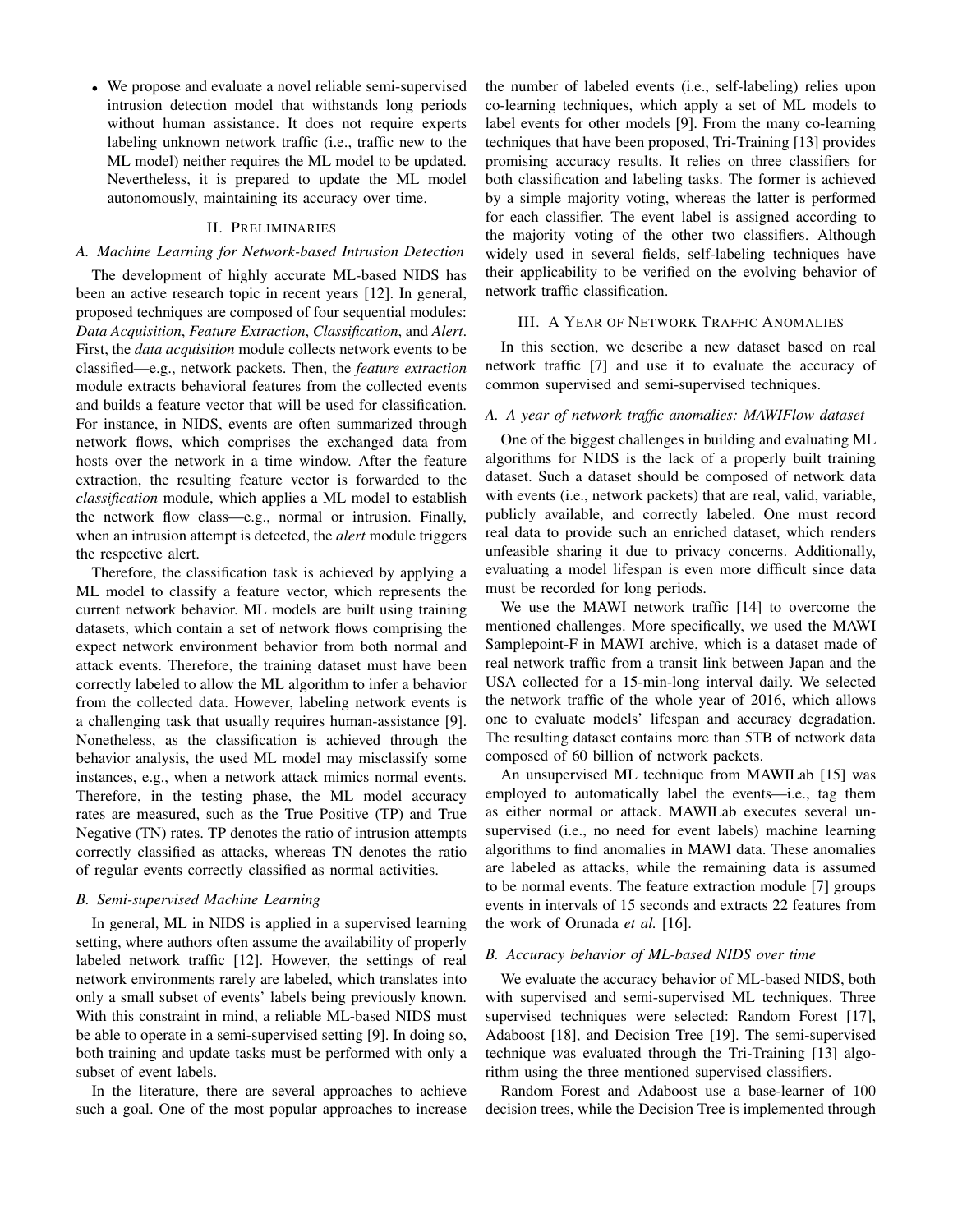• We propose and evaluate a novel reliable semi-supervised intrusion detection model that withstands long periods without human assistance. It does not require experts labeling unknown network traffic (i.e., traffic new to the ML model) neither requires the ML model to be updated. Nevertheless, it is prepared to update the ML model autonomously, maintaining its accuracy over time.

## II. PRELIMINARIES

#### *A. Machine Learning for Network-based Intrusion Detection*

The development of highly accurate ML-based NIDS has been an active research topic in recent years [\[12\]](#page-5-11). In general, proposed techniques are composed of four sequential modules: *Data Acquisition*, *Feature Extraction*, *Classification*, and *Alert*. First, the *data acquisition* module collects network events to be classified—e.g., network packets. Then, the *feature extraction* module extracts behavioral features from the collected events and builds a feature vector that will be used for classification. For instance, in NIDS, events are often summarized through network flows, which comprises the exchanged data from hosts over the network in a time window. After the feature extraction, the resulting feature vector is forwarded to the *classification* module, which applies a ML model to establish the network flow class—e.g., normal or intrusion. Finally, when an intrusion attempt is detected, the *alert* module triggers the respective alert.

Therefore, the classification task is achieved by applying a ML model to classify a feature vector, which represents the current network behavior. ML models are built using training datasets, which contain a set of network flows comprising the expect network environment behavior from both normal and attack events. Therefore, the training dataset must have been correctly labeled to allow the ML algorithm to infer a behavior from the collected data. However, labeling network events is a challenging task that usually requires human-assistance [\[9\]](#page-5-8). Nonetheless, as the classification is achieved through the behavior analysis, the used ML model may misclassify some instances, e.g., when a network attack mimics normal events. Therefore, in the testing phase, the ML model accuracy rates are measured, such as the True Positive (TP) and True Negative (TN) rates. TP denotes the ratio of intrusion attempts correctly classified as attacks, whereas TN denotes the ratio of regular events correctly classified as normal activities.

# *B. Semi-supervised Machine Learning*

In general, ML in NIDS is applied in a supervised learning setting, where authors often assume the availability of properly labeled network traffic [\[12\]](#page-5-11). However, the settings of real network environments rarely are labeled, which translates into only a small subset of events' labels being previously known. With this constraint in mind, a reliable ML-based NIDS must be able to operate in a semi-supervised setting [\[9\]](#page-5-8). In doing so, both training and update tasks must be performed with only a subset of event labels.

In the literature, there are several approaches to achieve such a goal. One of the most popular approaches to increase the number of labeled events (i.e., self-labeling) relies upon co-learning techniques, which apply a set of ML models to label events for other models [\[9\]](#page-5-8). From the many co-learning techniques that have been proposed, Tri-Training [\[13\]](#page-5-12) provides promising accuracy results. It relies on three classifiers for both classification and labeling tasks. The former is achieved by a simple majority voting, whereas the latter is performed for each classifier. The event label is assigned according to the majority voting of the other two classifiers. Although widely used in several fields, self-labeling techniques have their applicability to be verified on the evolving behavior of network traffic classification.

## III. A YEAR OF NETWORK TRAFFIC ANOMALIES

In this section, we describe a new dataset based on real network traffic [\[7\]](#page-5-6) and use it to evaluate the accuracy of common supervised and semi-supervised techniques.

## *A. A year of network traffic anomalies: MAWIFlow dataset*

One of the biggest challenges in building and evaluating ML algorithms for NIDS is the lack of a properly built training dataset. Such a dataset should be composed of network data with events (i.e., network packets) that are real, valid, variable, publicly available, and correctly labeled. One must record real data to provide such an enriched dataset, which renders unfeasible sharing it due to privacy concerns. Additionally, evaluating a model lifespan is even more difficult since data must be recorded for long periods.

We use the MAWI network traffic [\[14\]](#page-5-13) to overcome the mentioned challenges. More specifically, we used the MAWI Samplepoint-F in MAWI archive, which is a dataset made of real network traffic from a transit link between Japan and the USA collected for a 15-min-long interval daily. We selected the network traffic of the whole year of 2016, which allows one to evaluate models' lifespan and accuracy degradation. The resulting dataset contains more than 5TB of network data composed of 60 billion of network packets.

An unsupervised ML technique from MAWILab [\[15\]](#page-5-14) was employed to automatically label the events—i.e., tag them as either normal or attack. MAWILab executes several unsupervised (i.e., no need for event labels) machine learning algorithms to find anomalies in MAWI data. These anomalies are labeled as attacks, while the remaining data is assumed to be normal events. The feature extraction module [\[7\]](#page-5-6) groups events in intervals of 15 seconds and extracts 22 features from the work of Orunada *et al.* [\[16\]](#page-5-15).

#### <span id="page-1-0"></span>*B. Accuracy behavior of ML-based NIDS over time*

We evaluate the accuracy behavior of ML-based NIDS, both with supervised and semi-supervised ML techniques. Three supervised techniques were selected: Random Forest [\[17\]](#page-5-16), Adaboost [\[18\]](#page-5-17), and Decision Tree [\[19\]](#page-5-18). The semi-supervised technique was evaluated through the Tri-Training [\[13\]](#page-5-12) algorithm using the three mentioned supervised classifiers.

Random Forest and Adaboost use a base-learner of 100 decision trees, while the Decision Tree is implemented through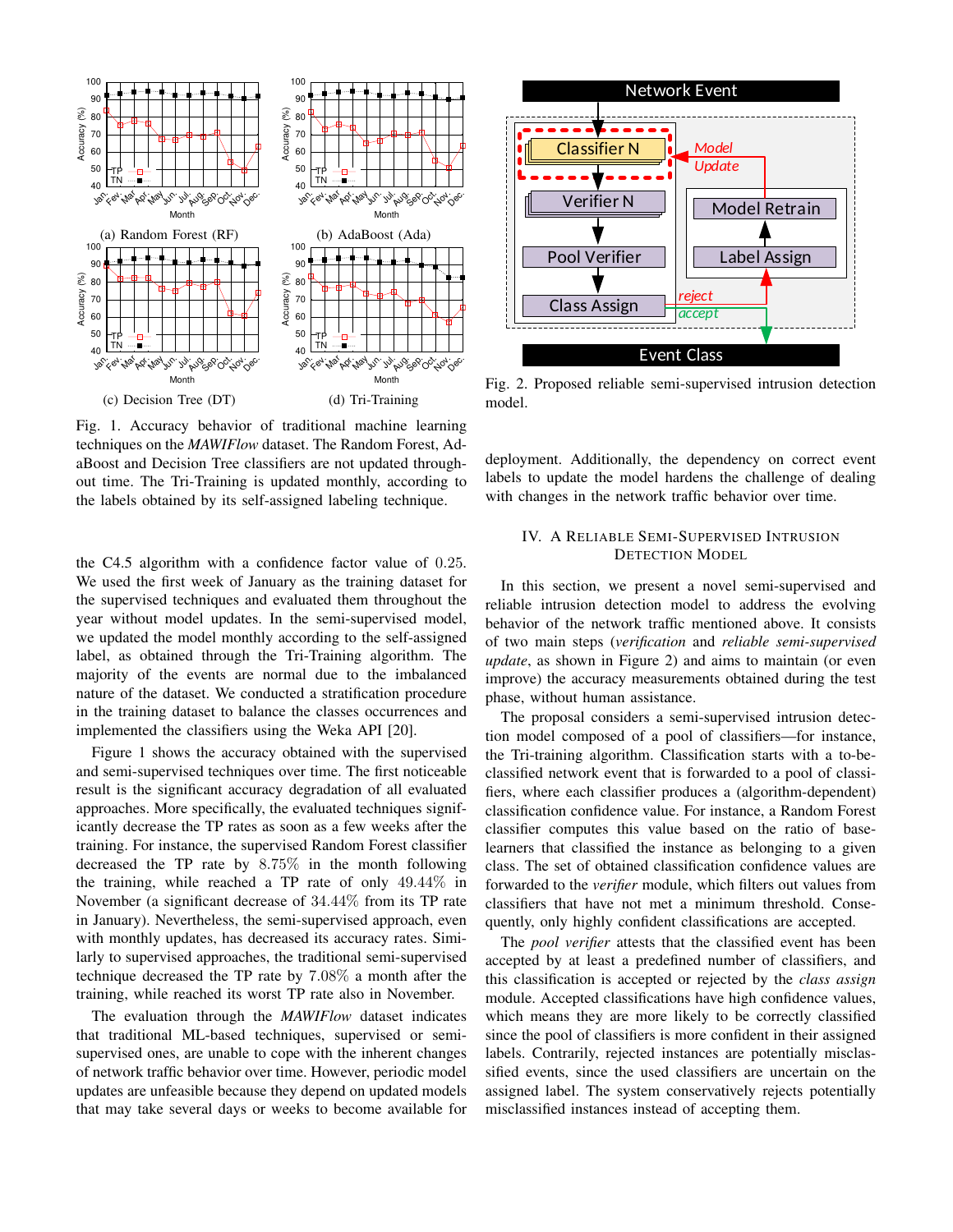<span id="page-2-0"></span>

Fig. 1. Accuracy behavior of traditional machine learning techniques on the *MAWIFlow* dataset. The Random Forest, AdaBoost and Decision Tree classifiers are not updated throughout time. The Tri-Training is updated monthly, according to the labels obtained by its self-assigned labeling technique.

the C4.5 algorithm with a confidence factor value of 0.25. We used the first week of January as the training dataset for the supervised techniques and evaluated them throughout the year without model updates. In the semi-supervised model, we updated the model monthly according to the self-assigned label, as obtained through the Tri-Training algorithm. The majority of the events are normal due to the imbalanced nature of the dataset. We conducted a stratification procedure in the training dataset to balance the classes occurrences and implemented the classifiers using the Weka API [\[20\]](#page-5-19).

Figure [1](#page-2-0) shows the accuracy obtained with the supervised and semi-supervised techniques over time. The first noticeable result is the significant accuracy degradation of all evaluated approaches. More specifically, the evaluated techniques significantly decrease the TP rates as soon as a few weeks after the training. For instance, the supervised Random Forest classifier decreased the TP rate by 8.75% in the month following the training, while reached a TP rate of only 49.44% in November (a significant decrease of 34.44% from its TP rate in January). Nevertheless, the semi-supervised approach, even with monthly updates, has decreased its accuracy rates. Similarly to supervised approaches, the traditional semi-supervised technique decreased the TP rate by 7.08% a month after the training, while reached its worst TP rate also in November.

The evaluation through the *MAWIFlow* dataset indicates that traditional ML-based techniques, supervised or semisupervised ones, are unable to cope with the inherent changes of network traffic behavior over time. However, periodic model updates are unfeasible because they depend on updated models that may take several days or weeks to become available for

<span id="page-2-1"></span>

Fig. 2. Proposed reliable semi-supervised intrusion detection model.

deployment. Additionally, the dependency on correct event labels to update the model hardens the challenge of dealing with changes in the network traffic behavior over time.

# IV. A RELIABLE SEMI-SUPERVISED INTRUSION DETECTION MODEL

In this section, we present a novel semi-supervised and reliable intrusion detection model to address the evolving behavior of the network traffic mentioned above. It consists of two main steps (*verification* and *reliable semi-supervised update*, as shown in Figure [2\)](#page-2-1) and aims to maintain (or even improve) the accuracy measurements obtained during the test phase, without human assistance.

The proposal considers a semi-supervised intrusion detection model composed of a pool of classifiers—for instance, the Tri-training algorithm. Classification starts with a to-beclassified network event that is forwarded to a pool of classifiers, where each classifier produces a (algorithm-dependent) classification confidence value. For instance, a Random Forest classifier computes this value based on the ratio of baselearners that classified the instance as belonging to a given class. The set of obtained classification confidence values are forwarded to the *verifier* module, which filters out values from classifiers that have not met a minimum threshold. Consequently, only highly confident classifications are accepted.

The *pool verifier* attests that the classified event has been accepted by at least a predefined number of classifiers, and this classification is accepted or rejected by the *class assign* module. Accepted classifications have high confidence values, which means they are more likely to be correctly classified since the pool of classifiers is more confident in their assigned labels. Contrarily, rejected instances are potentially misclassified events, since the used classifiers are uncertain on the assigned label. The system conservatively rejects potentially misclassified instances instead of accepting them.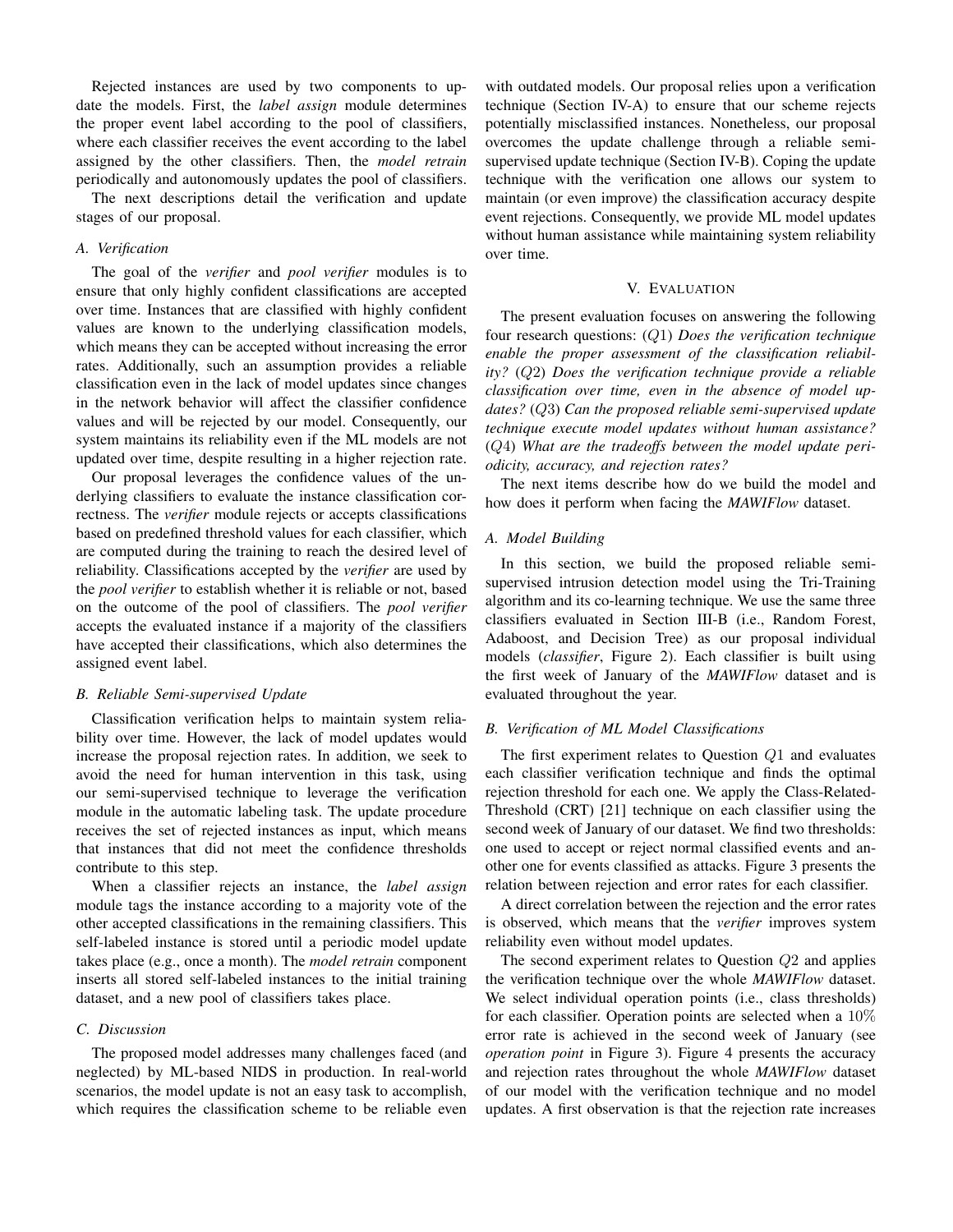Rejected instances are used by two components to update the models. First, the *label assign* module determines the proper event label according to the pool of classifiers, where each classifier receives the event according to the label assigned by the other classifiers. Then, the *model retrain* periodically and autonomously updates the pool of classifiers.

The next descriptions detail the verification and update stages of our proposal.

## <span id="page-3-0"></span>*A. Verification*

The goal of the *verifier* and *pool verifier* modules is to ensure that only highly confident classifications are accepted over time. Instances that are classified with highly confident values are known to the underlying classification models, which means they can be accepted without increasing the error rates. Additionally, such an assumption provides a reliable classification even in the lack of model updates since changes in the network behavior will affect the classifier confidence values and will be rejected by our model. Consequently, our system maintains its reliability even if the ML models are not updated over time, despite resulting in a higher rejection rate.

Our proposal leverages the confidence values of the underlying classifiers to evaluate the instance classification correctness. The *verifier* module rejects or accepts classifications based on predefined threshold values for each classifier, which are computed during the training to reach the desired level of reliability. Classifications accepted by the *verifier* are used by the *pool verifier* to establish whether it is reliable or not, based on the outcome of the pool of classifiers. The *pool verifier* accepts the evaluated instance if a majority of the classifiers have accepted their classifications, which also determines the assigned event label.

## <span id="page-3-1"></span>*B. Reliable Semi-supervised Update*

Classification verification helps to maintain system reliability over time. However, the lack of model updates would increase the proposal rejection rates. In addition, we seek to avoid the need for human intervention in this task, using our semi-supervised technique to leverage the verification module in the automatic labeling task. The update procedure receives the set of rejected instances as input, which means that instances that did not meet the confidence thresholds contribute to this step.

When a classifier rejects an instance, the *label assign* module tags the instance according to a majority vote of the other accepted classifications in the remaining classifiers. This self-labeled instance is stored until a periodic model update takes place (e.g., once a month). The *model retrain* component inserts all stored self-labeled instances to the initial training dataset, and a new pool of classifiers takes place.

#### *C. Discussion*

The proposed model addresses many challenges faced (and neglected) by ML-based NIDS in production. In real-world scenarios, the model update is not an easy task to accomplish, which requires the classification scheme to be reliable even with outdated models. Our proposal relies upon a verification technique (Section [IV-A\)](#page-3-0) to ensure that our scheme rejects potentially misclassified instances. Nonetheless, our proposal overcomes the update challenge through a reliable semisupervised update technique (Section [IV-B\)](#page-3-1). Coping the update technique with the verification one allows our system to maintain (or even improve) the classification accuracy despite event rejections. Consequently, we provide ML model updates without human assistance while maintaining system reliability over time.

#### V. EVALUATION

The present evaluation focuses on answering the following four research questions: (Q1) *Does the verification technique enable the proper assessment of the classification reliability?* (Q2) *Does the verification technique provide a reliable classification over time, even in the absence of model updates?* (Q3) *Can the proposed reliable semi-supervised update technique execute model updates without human assistance?* (Q4) *What are the tradeoffs between the model update periodicity, accuracy, and rejection rates?*

The next items describe how do we build the model and how does it perform when facing the *MAWIFlow* dataset.

## *A. Model Building*

In this section, we build the proposed reliable semisupervised intrusion detection model using the Tri-Training algorithm and its co-learning technique. We use the same three classifiers evaluated in Section [III-B](#page-1-0) (i.e., Random Forest, Adaboost, and Decision Tree) as our proposal individual models (*classifier*, Figure [2\)](#page-2-1). Each classifier is built using the first week of January of the *MAWIFlow* dataset and is evaluated throughout the year.

#### *B. Verification of ML Model Classifications*

The first experiment relates to Question Q1 and evaluates each classifier verification technique and finds the optimal rejection threshold for each one. We apply the Class-Related-Threshold (CRT) [\[21\]](#page-5-20) technique on each classifier using the second week of January of our dataset. We find two thresholds: one used to accept or reject normal classified events and another one for events classified as attacks. Figure [3](#page-4-0) presents the relation between rejection and error rates for each classifier.

A direct correlation between the rejection and the error rates is observed, which means that the *verifier* improves system reliability even without model updates.

The second experiment relates to Question Q2 and applies the verification technique over the whole *MAWIFlow* dataset. We select individual operation points (i.e., class thresholds) for each classifier. Operation points are selected when a  $10\%$ error rate is achieved in the second week of January (see *operation point* in Figure [3\)](#page-4-0). Figure [4](#page-4-1) presents the accuracy and rejection rates throughout the whole *MAWIFlow* dataset of our model with the verification technique and no model updates. A first observation is that the rejection rate increases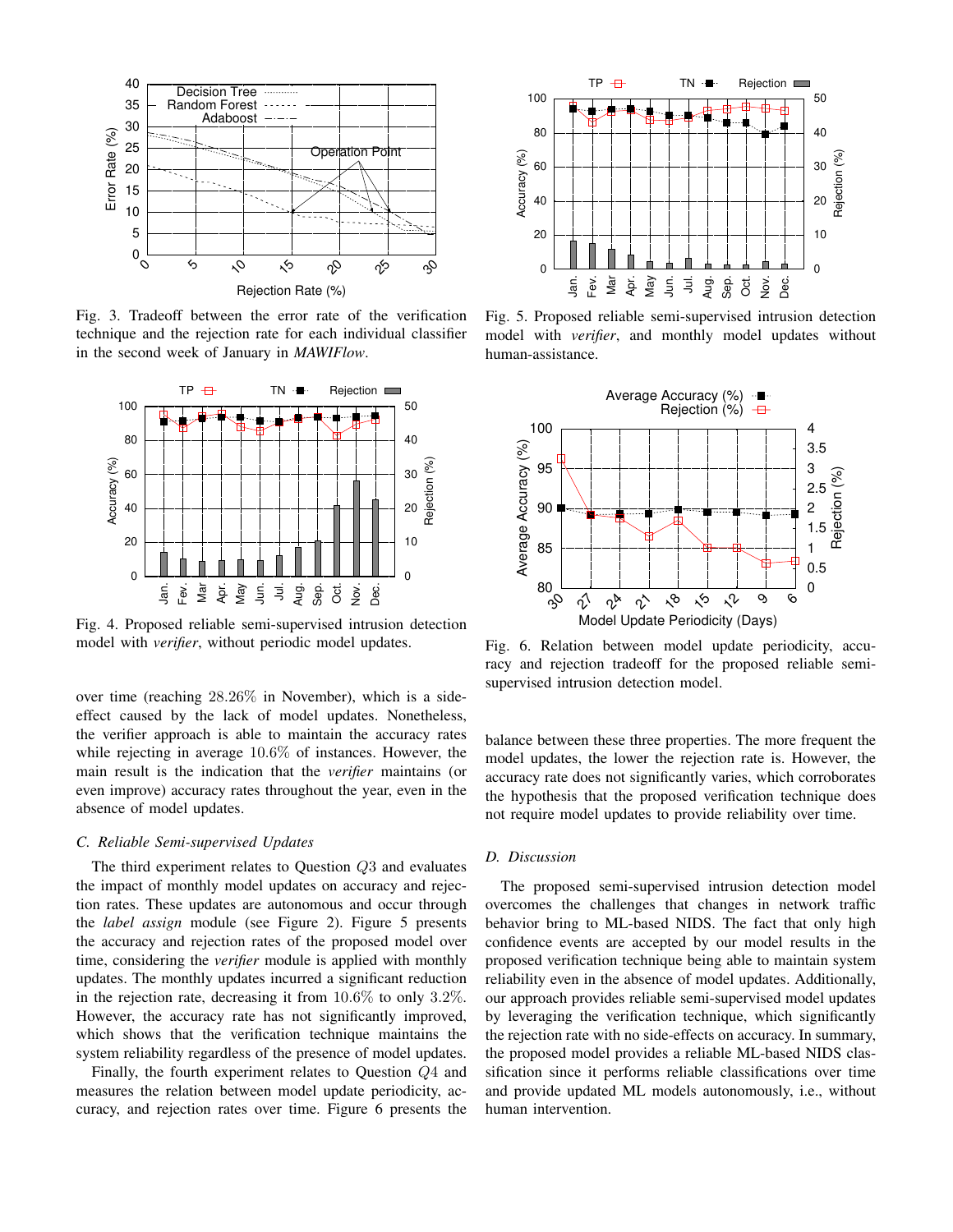<span id="page-4-0"></span>

Fig. 3. Tradeoff between the error rate of the verification technique and the rejection rate for each individual classifier in the second week of January in *MAWIFlow*.

<span id="page-4-1"></span>

Fig. 4. Proposed reliable semi-supervised intrusion detection model with *verifier*, without periodic model updates.

over time (reaching 28.26% in November), which is a sideeffect caused by the lack of model updates. Nonetheless, the verifier approach is able to maintain the accuracy rates while rejecting in average 10.6% of instances. However, the main result is the indication that the *verifier* maintains (or even improve) accuracy rates throughout the year, even in the absence of model updates.

## *C. Reliable Semi-supervised Updates*

The third experiment relates to Question Q3 and evaluates the impact of monthly model updates on accuracy and rejection rates. These updates are autonomous and occur through the *label assign* module (see Figure [2\)](#page-2-1). Figure [5](#page-4-2) presents the accuracy and rejection rates of the proposed model over time, considering the *verifier* module is applied with monthly updates. The monthly updates incurred a significant reduction in the rejection rate, decreasing it from  $10.6\%$  to only  $3.2\%$ . However, the accuracy rate has not significantly improved, which shows that the verification technique maintains the system reliability regardless of the presence of model updates.

Finally, the fourth experiment relates to Question Q4 and measures the relation between model update periodicity, accuracy, and rejection rates over time. Figure [6](#page-4-3) presents the

<span id="page-4-2"></span>

Fig. 5. Proposed reliable semi-supervised intrusion detection model with *verifier*, and monthly model updates without human-assistance.

<span id="page-4-3"></span>

Fig. 6. Relation between model update periodicity, accuracy and rejection tradeoff for the proposed reliable semisupervised intrusion detection model.

balance between these three properties. The more frequent the model updates, the lower the rejection rate is. However, the accuracy rate does not significantly varies, which corroborates the hypothesis that the proposed verification technique does not require model updates to provide reliability over time.

## *D. Discussion*

The proposed semi-supervised intrusion detection model overcomes the challenges that changes in network traffic behavior bring to ML-based NIDS. The fact that only high confidence events are accepted by our model results in the proposed verification technique being able to maintain system reliability even in the absence of model updates. Additionally, our approach provides reliable semi-supervised model updates by leveraging the verification technique, which significantly the rejection rate with no side-effects on accuracy. In summary, the proposed model provides a reliable ML-based NIDS classification since it performs reliable classifications over time and provide updated ML models autonomously, i.e., without human intervention.